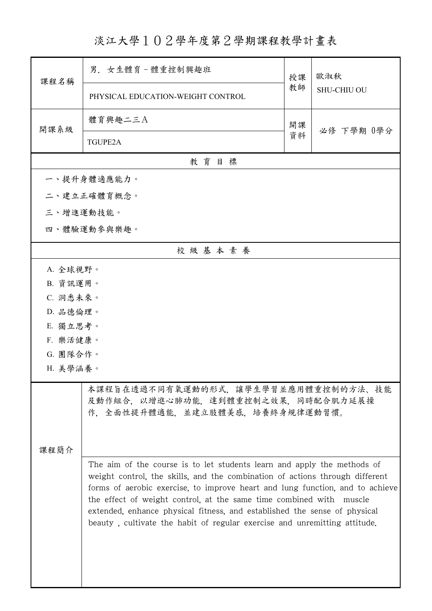淡江大學102學年度第2學期課程教學計畫表

| 課程名稱                                                                                                          | 男. 女生體育-體重控制興趣班                                                                                                                                                                                                                                                                                                                                                                                                                                                           | 授課 | 歐淑秋                |  |
|---------------------------------------------------------------------------------------------------------------|---------------------------------------------------------------------------------------------------------------------------------------------------------------------------------------------------------------------------------------------------------------------------------------------------------------------------------------------------------------------------------------------------------------------------------------------------------------------------|----|--------------------|--|
|                                                                                                               | PHYSICAL EDUCATION-WEIGHT CONTROL                                                                                                                                                                                                                                                                                                                                                                                                                                         | 教師 | <b>SHU-CHIU OU</b> |  |
| 開課系級                                                                                                          | 體育興趣二三A                                                                                                                                                                                                                                                                                                                                                                                                                                                                   | 開課 | 必修 下學期 0學分         |  |
|                                                                                                               | <b>TGUPE2A</b>                                                                                                                                                                                                                                                                                                                                                                                                                                                            | 資料 |                    |  |
|                                                                                                               | 教育目標                                                                                                                                                                                                                                                                                                                                                                                                                                                                      |    |                    |  |
|                                                                                                               | 一、提升身體適應能力。                                                                                                                                                                                                                                                                                                                                                                                                                                                               |    |                    |  |
|                                                                                                               | 二、建立正確體育概念。                                                                                                                                                                                                                                                                                                                                                                                                                                                               |    |                    |  |
| 三、增進運動技能。                                                                                                     |                                                                                                                                                                                                                                                                                                                                                                                                                                                                           |    |                    |  |
|                                                                                                               | 四、體驗運動參與樂趣。                                                                                                                                                                                                                                                                                                                                                                                                                                                               |    |                    |  |
|                                                                                                               | 校級基本素養                                                                                                                                                                                                                                                                                                                                                                                                                                                                    |    |                    |  |
| A. 全球視野。                                                                                                      |                                                                                                                                                                                                                                                                                                                                                                                                                                                                           |    |                    |  |
| B. 資訊運用。                                                                                                      |                                                                                                                                                                                                                                                                                                                                                                                                                                                                           |    |                    |  |
| C. 洞悉未來。                                                                                                      |                                                                                                                                                                                                                                                                                                                                                                                                                                                                           |    |                    |  |
| D. 品德倫理。                                                                                                      |                                                                                                                                                                                                                                                                                                                                                                                                                                                                           |    |                    |  |
| E. 獨立思考。                                                                                                      |                                                                                                                                                                                                                                                                                                                                                                                                                                                                           |    |                    |  |
| F. 樂活健康。                                                                                                      |                                                                                                                                                                                                                                                                                                                                                                                                                                                                           |    |                    |  |
| G. 團隊合作。                                                                                                      |                                                                                                                                                                                                                                                                                                                                                                                                                                                                           |    |                    |  |
| H. 美學涵養。                                                                                                      |                                                                                                                                                                                                                                                                                                                                                                                                                                                                           |    |                    |  |
| 本課程旨在透過不同有氧運動的形式,讓學生學習並應用體重控制的方法、技能<br>及動作組合, 以增進心肺功能, 達到體重控制之效果, 同時配合肌力延展操<br>作,全面性提升體適能,並建立肢體美感,培養終身規律運動習慣。 |                                                                                                                                                                                                                                                                                                                                                                                                                                                                           |    |                    |  |
| 课程简介                                                                                                          |                                                                                                                                                                                                                                                                                                                                                                                                                                                                           |    |                    |  |
|                                                                                                               | The aim of the course is to let students learn and apply the methods of<br>weight control, the skills, and the combination of actions through different<br>forms of aerobic exercise, to improve heart and lung function, and to achieve<br>the effect of weight control, at the same time combined with muscle<br>extended, enhance physical fitness, and established the sense of physical<br>beauty, cultivate the habit of regular exercise and unremitting attitude. |    |                    |  |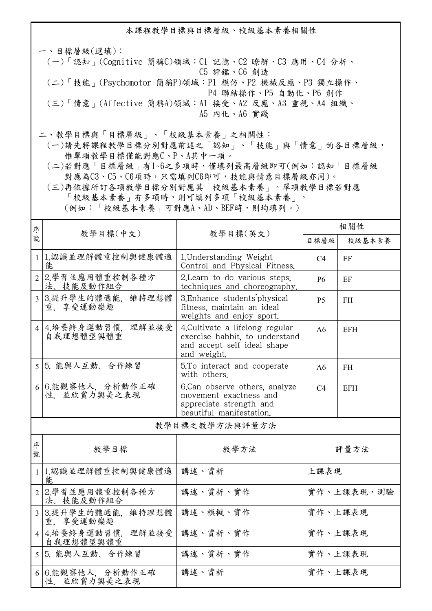本課程教學目標與目標層級、校級基本素養相關性

一、目標層級(選填): (一)「認知」(Cognitive 簡稱C)領域:C1 記憶、C2 瞭解、C3 應用、C4 分析、 C5 評鑑、C6 創造 (二)「技能」(Psychomotor 簡稱P)領域:P1 模仿、P2 機械反應、P3 獨立操作、 P4 聯結操作、P5 自動化、P6 創作 (三)「情意」(Affective 簡稱A)領域:A1 接受、A2 反應、A3 重視、A4 組織、 A5 內化、A6 實踐 二、教學目標與「目標層級」、「校級基本素養」之相關性:

 (一)請先將課程教學目標分別對應前述之「認知」、「技能」與「情意」的各目標層級, 惟單項教學目標僅能對應C、P、A其中一項。

 (二)若對應「目標層級」有1~6之多項時,僅填列最高層級即可(例如:認知「目標層級」 對應為C3、C5、C6項時,只需填列C6即可,技能與情意目標層級亦同)。

 (三)再依據所訂各項教學目標分別對應其「校級基本素養」。單項教學目標若對應 「校級基本素養」有多項時,則可填列多項「校級基本素養」。 (例如:「校級基本素養」可對應A、AD、BEF時,則均填列。)

| 序              |                                                                                     |                                                                                                                 | 相關性            |            |  |  |
|----------------|-------------------------------------------------------------------------------------|-----------------------------------------------------------------------------------------------------------------|----------------|------------|--|--|
| 號              | 教學目標(中文)<br>教學目標(英文)                                                                |                                                                                                                 | 目標層級           | 校級基本素養     |  |  |
|                | 1 1.認識並理解體重控制與健康體適<br>1. Understanding Weight<br>能<br>Control and Physical Fitness. |                                                                                                                 | C <sub>4</sub> | EF         |  |  |
| $\overline{2}$ | 2.學習並應用體重控制各種方<br>法、技能及動作組合                                                         | 2. Learn to do various steps,<br>techniques and choreography.                                                   | P <sub>6</sub> | EF         |  |  |
| $\overline{3}$ | 3.提升學生的體適能.<br>維持理想體<br>重.享受運動樂趣                                                    | 3. Enhance students physical<br>fitness, maintain an ideal<br>weights and enjoy sport.                          | <b>P5</b>      | <b>FH</b>  |  |  |
| $\overline{4}$ | 4.培養終身運動習慣,<br>理解並接受<br>自我理想體型與體重                                                   | 4. Cultivate a lifelong regular<br>exercise habbit, to understand<br>and accept self ideal shape<br>and weight. | A6             | <b>EFH</b> |  |  |
| 5 <sup>5</sup> | 5. 能與人互動、合作練習                                                                       | 5.To interact and cooperate<br>with others.                                                                     | A6             | <b>FH</b>  |  |  |
| 6              | 6.能觀察他人, 分析動作正確<br>性、並欣賞力與美之表現                                                      | 6.Can observe others, analyze<br>movement exactness and<br>appreciate strength and<br>beautiful manifestation.  | C4             | <b>EFH</b> |  |  |
| 教學目標之教學方法與評量方法 |                                                                                     |                                                                                                                 |                |            |  |  |
| 序<br>號         | 教學目標                                                                                | 教學方法                                                                                                            | 評量方法           |            |  |  |
| $\mathbf{1}$   | 1.認識並理解體重控制與健康體適<br>能                                                               | 講述、賞析                                                                                                           | 上課表現           |            |  |  |
| $\overline{2}$ | 2.學習並應用體重控制各種方<br>法、技能及動作組合                                                         | 講述、賞析、實作                                                                                                        | 實作、上課表現、測驗     |            |  |  |
| $\overline{3}$ | 3.提升學生的體適能,<br>維持理想體<br>重. 享受運動樂趣                                                   | 講述、模擬、實作                                                                                                        | 實作、上課表現        |            |  |  |
| $\overline{4}$ | 4.培養終身運動習慣,<br>理解並接受<br>自我理想體型與體重                                                   | 講述、賞析、實作                                                                                                        | 實作、上課表現        |            |  |  |
| 5              | 5. 能與人互動、合作練習                                                                       | 講述、賞析、實作                                                                                                        | 實作、上課表現        |            |  |  |
| 6              | 6.能觀察他人, 分析動作正確<br>性、並欣賞力與美之表現                                                      | 講述、賞析                                                                                                           | 實作、上課表現        |            |  |  |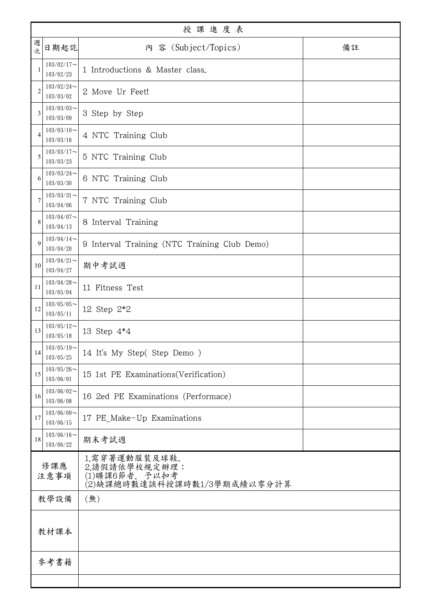| 授課進度表          |                            |                                                                                 |    |  |
|----------------|----------------------------|---------------------------------------------------------------------------------|----|--|
| 週次             | 日期起訖                       | 内 容 (Subject/Topics)                                                            | 備註 |  |
|                | $103/02/17$ ~<br>103/02/23 | 1 Introductions & Master class.                                                 |    |  |
| $\overline{2}$ | $103/02/24$ ~<br>103/03/02 | 2 Move Ur Feet!                                                                 |    |  |
| 3              | $103/03/03$ ~<br>103/03/09 | 3 Step by Step                                                                  |    |  |
| Δ              | $103/03/10$ ~<br>103/03/16 | 4 NTC Training Club                                                             |    |  |
| 5              | $103/03/17$ ~<br>103/03/23 | 5 NTC Training Club                                                             |    |  |
| 6              | $103/03/24$ ~<br>103/03/30 | 6 NTC Training Club                                                             |    |  |
| 7              | $103/03/31$ ~<br>103/04/06 | 7 NTC Training Club                                                             |    |  |
| 8              | $103/04/07$ ~<br>103/04/13 | 8 Interval Training                                                             |    |  |
| 9              | $103/04/14$ ~<br>103/04/20 | 9 Interval Training (NTC Training Club Demo)                                    |    |  |
| 10             | $103/04/21$ ~<br>103/04/27 | 期中考試週                                                                           |    |  |
| 11             | $103/04/28$ ~<br>103/05/04 | 11 Fitness Test                                                                 |    |  |
| 12             | $103/05/05$ ~<br>103/05/11 | 12 Step 2*2                                                                     |    |  |
| 13             | $103/05/12$ ~<br>103/05/18 | 13 Step 4*4                                                                     |    |  |
| 14             | $103/05/19$ ~<br>103/05/25 | 14 It's My Step(Step Demo)                                                      |    |  |
| 15             | $103/05/26$ ~<br>103/06/01 | 15 1st PE Examinations (Verification)                                           |    |  |
| 16             | $103/06/02$ ~<br>103/06/08 | 16 2ed PE Examinations (Performace)                                             |    |  |
| 17             | $103/06/09$ ~<br>103/06/15 | 17 PE_Make-Up Examinations                                                      |    |  |
| 18             | $103/06/16$ ~<br>103/06/22 | 期末考試週                                                                           |    |  |
| 修課應<br>注意事項    |                            | 1.需穿著運動服裝及球鞋。<br>2.請假請依學校規定辦理:<br>(1)曠課6節者, 予以扣考<br>(2)缺課總時數達該科授課時數1/3學期成績以零分計算 |    |  |
|                | 教學設備                       | (無)                                                                             |    |  |
| 教材課本           |                            |                                                                                 |    |  |
|                | 參考書籍                       |                                                                                 |    |  |